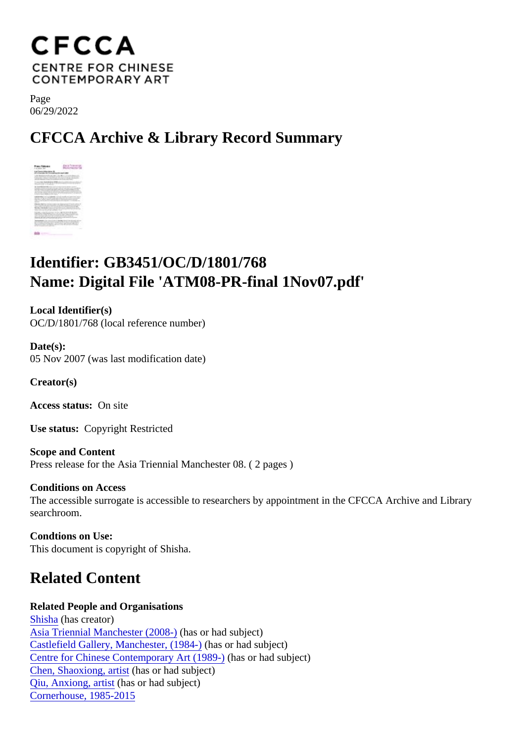Page 06/29/2022

CFCCA Archive & Library Record Summary

## Identifier: GB3451/OC/D/1801/768 Name: Digital File 'ATM08-PR-final 1Nov07.pdf'

Local Identifier(s) OC/D/1801/768 (local reference number)

Date(s): 05 Nov 2007 (was last modification date)

Creator(s)

Access status: On site

Use status: Copyright Restricted

Scope and Content Press release for the Asia Triennial Manchester 08. ( 2 pages )

Conditions on Access The accessible surrogate is accessible to researchers by appointment in the CFCCA Archive and Library searchroom.

Condtions on Use: This document is copyright of Shisha.

## Related Content

Related People and Organisations [Shisha](/index.php/Detail/entities/194)(has creator) [Asia Triennial Manchester \(2008](/index.php/Detail/entities/235))as or had subject) [Castlefield Gallery, Manchester, \(198](/index.php/Detail/entities/475)4h)as or had subject) [Centre for Chinese Contemporary Art \(198](/index.php/Detail/entities/2)9)as or had subject) [Chen, Shaoxiong, arti](/index.php/Detail/entities/309)shesor had subject) [Qiu, Anxiong, artis](/index.php/Detail/entities/4969)t (has or had subject) [Cornerhouse, 1985-20](/index.php/Detail/entities/20)15